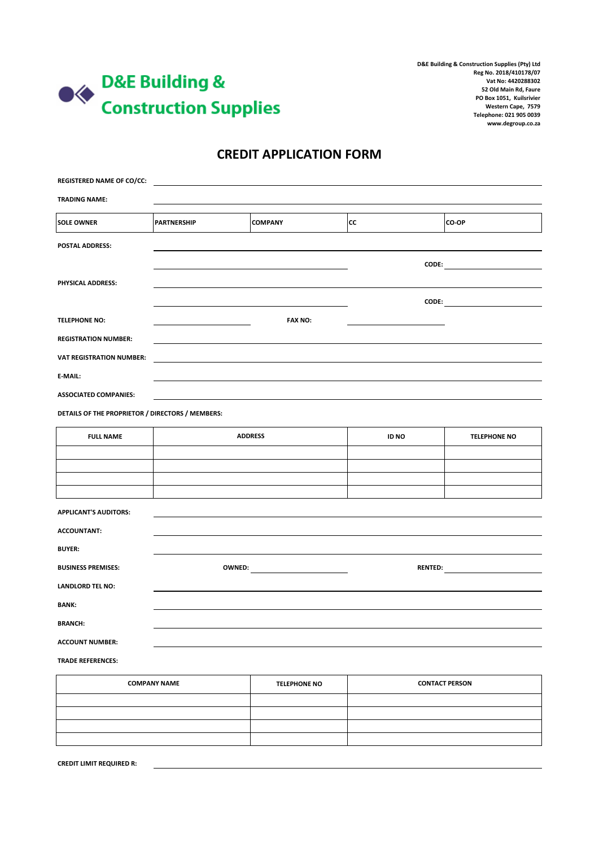

**D&E Building & Construction Supplies (Pty) Ltd Reg No. 2018/410178/07 Vat No: 4420288302 52 Old Main Rd, Faure PO Box 1051, Kuilsrivier Western Cape, 7579 Telephone: 021 905 0039 www.degroup.co.za**

#### **CREDIT APPLICATION FORM**

| <b>REGISTERED NAME OF CO/CC:</b>                    |                    |                     |                       |                     |  |
|-----------------------------------------------------|--------------------|---------------------|-----------------------|---------------------|--|
| <b>TRADING NAME:</b>                                |                    |                     |                       |                     |  |
| <b>SOLE OWNER</b>                                   | <b>PARTNERSHIP</b> | <b>COMPANY</b>      | <b>CC</b>             | CO-OP               |  |
| POSTAL ADDRESS:                                     |                    |                     |                       |                     |  |
|                                                     |                    |                     |                       |                     |  |
| PHYSICAL ADDRESS:                                   |                    |                     |                       |                     |  |
|                                                     |                    | <b>FAX NO:</b>      |                       | $\text{CODE:}$      |  |
| <b>TELEPHONE NO:</b><br><b>REGISTRATION NUMBER:</b> |                    |                     |                       |                     |  |
| <b>VAT REGISTRATION NUMBER:</b>                     |                    |                     |                       |                     |  |
| E-MAIL:                                             |                    |                     |                       |                     |  |
| <b>ASSOCIATED COMPANIES:</b>                        |                    |                     |                       |                     |  |
| DETAILS OF THE PROPRIETOR / DIRECTORS / MEMBERS:    |                    |                     |                       |                     |  |
| <b>FULL NAME</b>                                    | <b>ADDRESS</b>     |                     | ID NO                 | <b>TELEPHONE NO</b> |  |
|                                                     |                    |                     |                       |                     |  |
|                                                     |                    |                     |                       |                     |  |
|                                                     |                    |                     |                       |                     |  |
| <b>APPLICANT'S AUDITORS:</b>                        |                    |                     |                       |                     |  |
| <b>ACCOUNTANT:</b>                                  |                    |                     |                       |                     |  |
| <b>BUYER:</b>                                       |                    |                     |                       |                     |  |
| <b>BUSINESS PREMISES:</b>                           |                    |                     |                       |                     |  |
| <b>LANDLORD TEL NO:</b>                             |                    |                     |                       |                     |  |
| <b>BANK:</b>                                        |                    |                     |                       |                     |  |
| <b>BRANCH:</b>                                      |                    |                     |                       |                     |  |
| <b>ACCOUNT NUMBER:</b>                              |                    |                     |                       |                     |  |
| <b>TRADE REFERENCES:</b>                            |                    |                     |                       |                     |  |
| <b>COMPANY NAME</b>                                 |                    | <b>TELEPHONE NO</b> | <b>CONTACT PERSON</b> |                     |  |

| <b>COMPANY NAME</b> | <b>TELEPHONE NO</b> | <b>CONTACT PERSON</b> |
|---------------------|---------------------|-----------------------|
|                     |                     |                       |
|                     |                     |                       |
|                     |                     |                       |
|                     |                     |                       |
|                     |                     |                       |

**CREDIT LIMIT REQUIRED R:**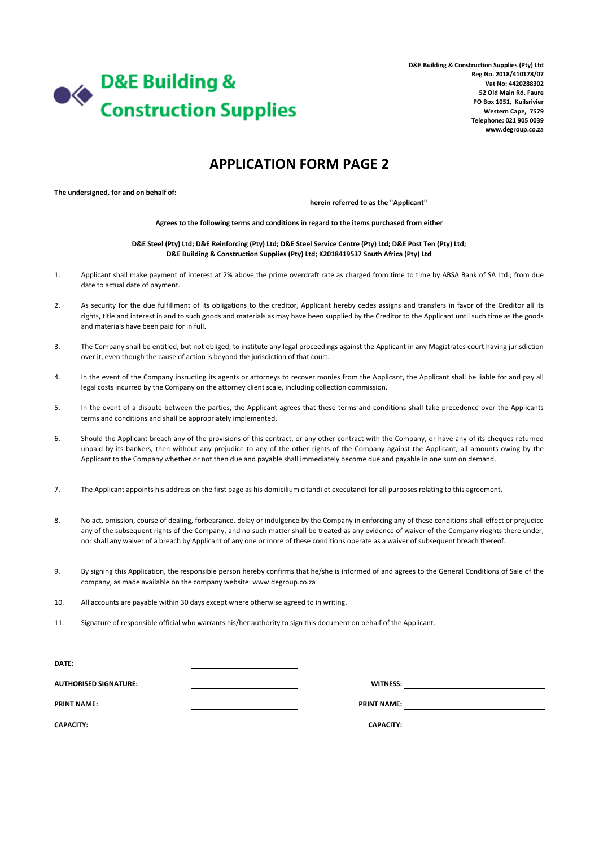

**D&E Building & Construction Supplies (Pty) Ltd Reg No. 2018/410178/07 Vat No: 4420288302 52 Old Main Rd, Faure PO Box 1051, Kuilsrivier Western Cape, 7579 Telephone: 021 905 0039 www.degroup.co.za**

### **APPLICATION FORM PAGE 2**

**The undersigned, for and on behalf of:**

**herein referred to as the "Applicant"**

**Agrees to the following terms and conditions in regard to the items purchased from either**

**D&E Steel (Pty) Ltd; D&E Reinforcing (Pty) Ltd; D&E Steel Service Centre (Pty) Ltd; D&E Post Ten (Pty) Ltd; D&E Building & Construction Supplies (Pty) Ltd; K2018419537 South Africa (Pty) Ltd**

- 1. Applicant shall make payment of interest at 2% above the prime overdraft rate as charged from time to time by ABSA Bank of SA Ltd.; from due date to actual date of payment.
- $2.5$ As security for the due fulfillment of its obligations to the creditor, Applicant hereby cedes assigns and transfers in favor of the Creditor all its rights, title and interest in and to such goods and materials as may have been supplied by the Creditor to the Applicant until such time as the goods and materials have been paid for in full.
- 3. The Company shall be entitled, but not obliged, to institute any legal proceedings against the Applicant in any Magistrates court having jurisdiction over it, even though the cause of action is beyond the jurisdiction of that court.
- 4. In the event of the Company insructing its agents or attorneys to recover monies from the Applicant, the Applicant shall be liable for and pay all legal costs incurred by the Company on the attorney client scale, including collection commission.
- 5. In the event of a dispute between the parties, the Applicant agrees that these terms and conditions shall take precedence over the Applicants terms and conditions and shall be appropriately implemented.
- 6. Should the Applicant breach any of the provisions of this contract, or any other contract with the Company, or have any of its cheques returned unpaid by its bankers, then without any prejudice to any of the other rights of the Company against the Applicant, all amounts owing by the Applicant to the Company whether or not then due and payable shall immediately become due and payable in one sum on demand.
- 7. The Applicant appoints his address on the first page as his domicilium citandi et executandi for all purposes relating to this agreement.
- 8. No act, omission, course of dealing, forbearance, delay or indulgence by the Company in enforcing any of these conditions shall effect or prejudice any of the subsequent rights of the Company, and no such matter shall be treated as any evidence of waiver of the Company rioghts there under, nor shall any waiver of a breach by Applicant of any one or more of these conditions operate as a waiver of subsequent breach thereof.
- 9. By signing this Application, the responsible person hereby confirms that he/she is informed of and agrees to the General Conditions of Sale of the company, as made available on the company website: www.degroup.co.za
- 10. All accounts are payable within 30 days except where otherwise agreed to in writing.
- 11. Signature of responsible official who warrants his/her authority to sign this document on behalf of the Applicant.

| <b>DATE:</b>                 |                    |  |
|------------------------------|--------------------|--|
| <b>AUTHORISED SIGNATURE:</b> | <b>WITNESS:</b>    |  |
| <b>PRINT NAME:</b>           | <b>PRINT NAME:</b> |  |
| <b>CAPACITY:</b>             | <b>CAPACITY:</b>   |  |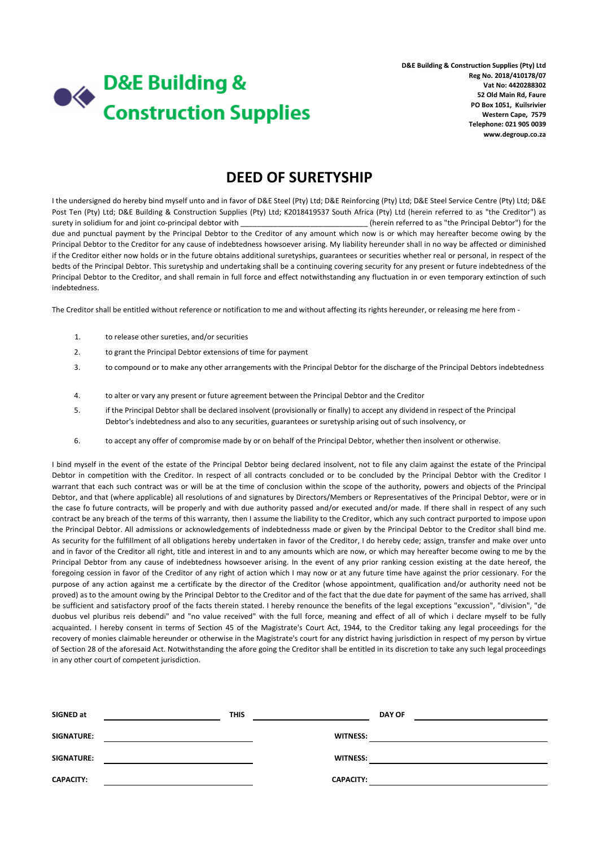# **D&E Building &**  $\blacklozenge\blacklozenge$ **Construction Supplies**

**D&E Building & Construction Supplies (Pty) Ltd Reg No. 2018/410178/07 Vat No: 4420288302 52 Old Main Rd, Faure PO Box 1051, Kuilsrivier Western Cape, 7579 Telephone: 021 905 0039 www.degroup.co.za**

## **DEED OF SURETYSHIP**

I the undersigned do hereby bind myself unto and in favor of D&E Steel (Pty) Ltd; D&E Reinforcing (Pty) Ltd; D&E Steel Service Centre (Pty) Ltd; D&E Post Ten (Pty) Ltd; D&E Building & Construction Supplies (Pty) Ltd; K2018419537 South Africa (Pty) Ltd (herein referred to as "the Creditor") as surety in solidium for and joint co-principal debtor with \_\_\_\_\_\_\_\_\_\_\_\_\_\_\_\_\_\_\_\_\_\_\_\_\_\_\_\_\_\_\_ (herein referred to as "the Principal Debtor") for the due and punctual payment by the Principal Debtor to the Creditor of any amount which now is or which may hereafter become owing by the Principal Debtor to the Creditor for any cause of indebtedness howsoever arising. My liability hereunder shall in no way be affected or diminished if the Creditor either now holds or in the future obtains additional suretyships, guarantees or securities whether real or personal, in respect of the bedts of the Principal Debtor. This suretyship and undertaking shall be a continuing covering security for any present or future indebtedness of the Principal Debtor to the Creditor, and shall remain in full force and effect notwithstanding any fluctuation in or even temporary extinction of such indebtedness.

The Creditor shall be entitled without reference or notification to me and without affecting its rights hereunder, or releasing me here from -

- 1. to release other sureties, and/or securities
- 2. to grant the Principal Debtor extensions of time for payment
- 3. to compound or to make any other arrangements with the Principal Debtor for the discharge of the Principal Debtors indebtedness
- 4. to alter or vary any present or future agreement between the Principal Debtor and the Creditor
- 5. if the Principal Debtor shall be declared insolvent (provisionally or finally) to accept any dividend in respect of the Principal Debtor's indebtedness and also to any securities, guarantees or suretyship arising out of such insolvency, or
- 6. to accept any offer of compromise made by or on behalf of the Principal Debtor, whether then insolvent or otherwise.

I bind myself in the event of the estate of the Principal Debtor being declared insolvent, not to file any claim against the estate of the Principal Debtor in competition with the Creditor. In respect of all contracts concluded or to be concluded by the Principal Debtor with the Creditor I warrant that each such contract was or will be at the time of conclusion within the scope of the authority, powers and objects of the Principal Debtor, and that (where applicable) all resolutions of and signatures by Directors/Members or Representatives of the Principal Debtor, were or in the case fo future contracts, will be properly and with due authority passed and/or executed and/or made. If there shall in respect of any such contract be any breach of the terms of this warranty, then I assume the liability to the Creditor, which any such contract purported to impose upon the Principal Debtor. All admissions or acknowledgements of indebtednesss made or given by the Principal Debtor to the Creditor shall bind me. As security for the fulfillment of all obligations hereby undertaken in favor of the Creditor, I do hereby cede; assign, transfer and make over unto and in favor of the Creditor all right, title and interest in and to any amounts which are now, or which may hereafter become owing to me by the Principal Debtor from any cause of indebtedness howsoever arising. In the event of any prior ranking cession existing at the date hereof, the foregoing cession in favor of the Creditor of any right of action which I may now or at any future time have against the prior cessionary. For the purpose of any action against me a certificate by the director of the Creditor (whose appointment, qualification and/or authority need not be proved) as to the amount owing by the Principal Debtor to the Creditor and of the fact that the due date for payment of the same has arrived, shall be sufficient and satisfactory proof of the facts therein stated. I hereby renounce the benefits of the legal exceptions "excussion", "division", "de duobus vel pluribus reis debendi" and "no value received" with the full force, meaning and effect of all of which i declare myself to be fully acquainted. I hereby consent in terms of Section 45 of the Magistrate's Court Act, 1944, to the Creditor taking any legal proceedings for the recovery of monies claimable hereunder or otherwise in the Magistrate's court for any district having jurisdiction in respect of my person by virtue of Section 28 of the aforesaid Act. Notwithstanding the afore going the Creditor shall be entitled in its discretion to take any such legal proceedings in any other court of competent jurisdiction.

| SIGNED at         | <b>THIS</b> |                  | <b>DAY OF</b> |
|-------------------|-------------|------------------|---------------|
| SIGNATURE:        |             | <b>WITNESS:</b>  |               |
| <b>SIGNATURE:</b> |             | <b>WITNESS:</b>  |               |
| <b>CAPACITY:</b>  |             | <b>CAPACITY:</b> |               |